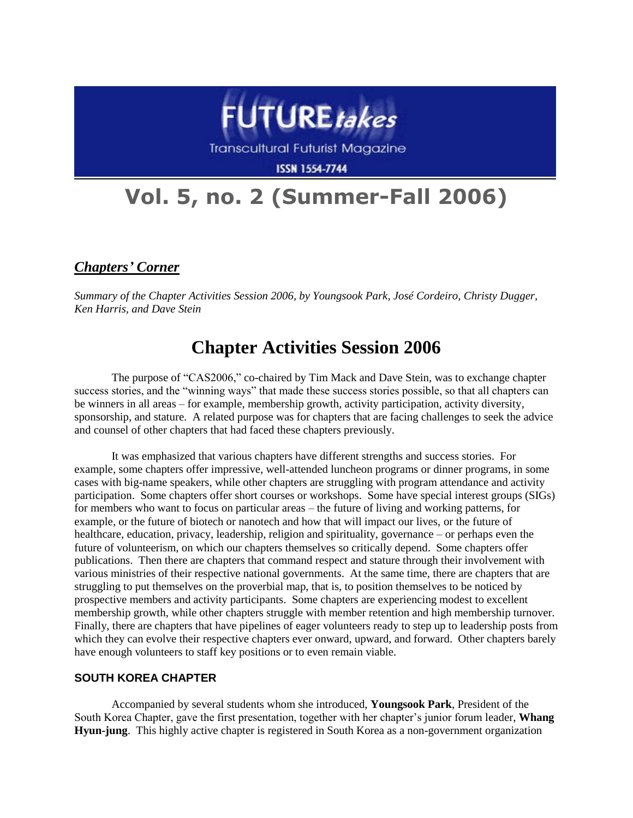

**Transcultural Futurist Magazine** 

**ISSN 1554-7744** 

# **Vol. 5, no. 2 (Summer-Fall 2006)**

*Chapters' Corner*

*Summary of the Chapter Activities Session 2006, by Youngsook Park, José Cordeiro, Christy Dugger, Ken Harris, and Dave Stein*

# **Chapter Activities Session 2006**

The purpose of "CAS2006," co-chaired by Tim Mack and Dave Stein, was to exchange chapter success stories, and the "winning ways" that made these success stories possible, so that all chapters can be winners in all areas – for example, membership growth, activity participation, activity diversity, sponsorship, and stature. A related purpose was for chapters that are facing challenges to seek the advice and counsel of other chapters that had faced these chapters previously.

It was emphasized that various chapters have different strengths and success stories. For example, some chapters offer impressive, well-attended luncheon programs or dinner programs, in some cases with big-name speakers, while other chapters are struggling with program attendance and activity participation. Some chapters offer short courses or workshops. Some have special interest groups (SIGs) for members who want to focus on particular areas – the future of living and working patterns, for example, or the future of biotech or nanotech and how that will impact our lives, or the future of healthcare, education, privacy, leadership, religion and spirituality, governance – or perhaps even the future of volunteerism, on which our chapters themselves so critically depend. Some chapters offer publications. Then there are chapters that command respect and stature through their involvement with various ministries of their respective national governments. At the same time, there are chapters that are struggling to put themselves on the proverbial map, that is, to position themselves to be noticed by prospective members and activity participants. Some chapters are experiencing modest to excellent membership growth, while other chapters struggle with member retention and high membership turnover. Finally, there are chapters that have pipelines of eager volunteers ready to step up to leadership posts from which they can evolve their respective chapters ever onward, upward, and forward. Other chapters barely have enough volunteers to staff key positions or to even remain viable.

#### **SOUTH KOREA CHAPTER**

Accompanied by several students whom she introduced, **Youngsook Park**, President of the South Korea Chapter, gave the first presentation, together with her chapter's junior forum leader, **Whang Hyun-jung**. This highly active chapter is registered in South Korea as a non-government organization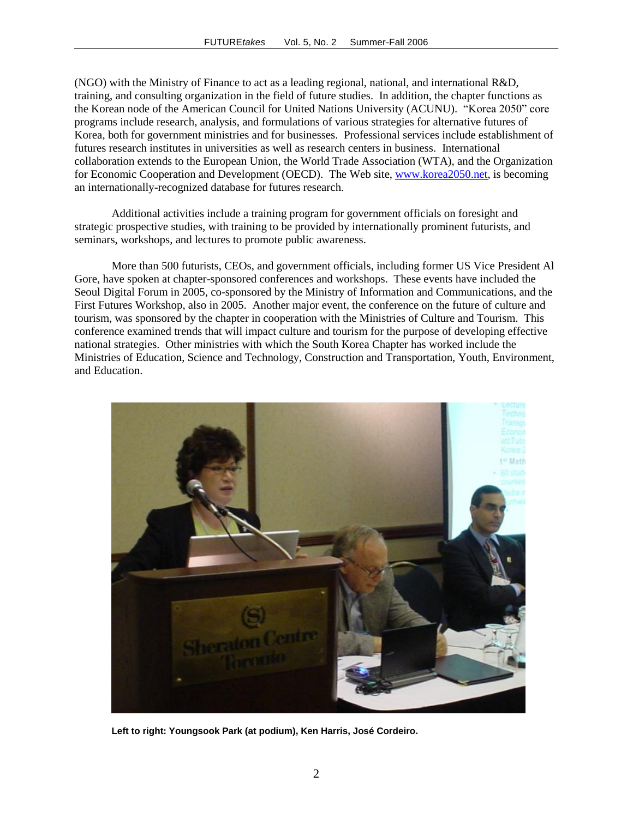(NGO) with the Ministry of Finance to act as a leading regional, national, and international R&D, training, and consulting organization in the field of future studies. In addition, the chapter functions as the Korean node of the American Council for United Nations University (ACUNU). "Korea 2050" core programs include research, analysis, and formulations of various strategies for alternative futures of Korea, both for government ministries and for businesses. Professional services include establishment of futures research institutes in universities as well as research centers in business. International collaboration extends to the European Union, the World Trade Association (WTA), and the Organization for Economic Cooperation and Development (OECD). The Web site, [www.korea2050.net,](http://www.korea2050.net/) is becoming an internationally-recognized database for futures research.

Additional activities include a training program for government officials on foresight and strategic prospective studies, with training to be provided by internationally prominent futurists, and seminars, workshops, and lectures to promote public awareness.

More than 500 futurists, CEOs, and government officials, including former US Vice President Al Gore, have spoken at chapter-sponsored conferences and workshops. These events have included the Seoul Digital Forum in 2005, co-sponsored by the Ministry of Information and Communications, and the First Futures Workshop, also in 2005. Another major event, the conference on the future of culture and tourism, was sponsored by the chapter in cooperation with the Ministries of Culture and Tourism. This conference examined trends that will impact culture and tourism for the purpose of developing effective national strategies. Other ministries with which the South Korea Chapter has worked include the Ministries of Education, Science and Technology, Construction and Transportation, Youth, Environment, and Education.



**Left to right: Youngsook Park (at podium), Ken Harris, José Cordeiro.**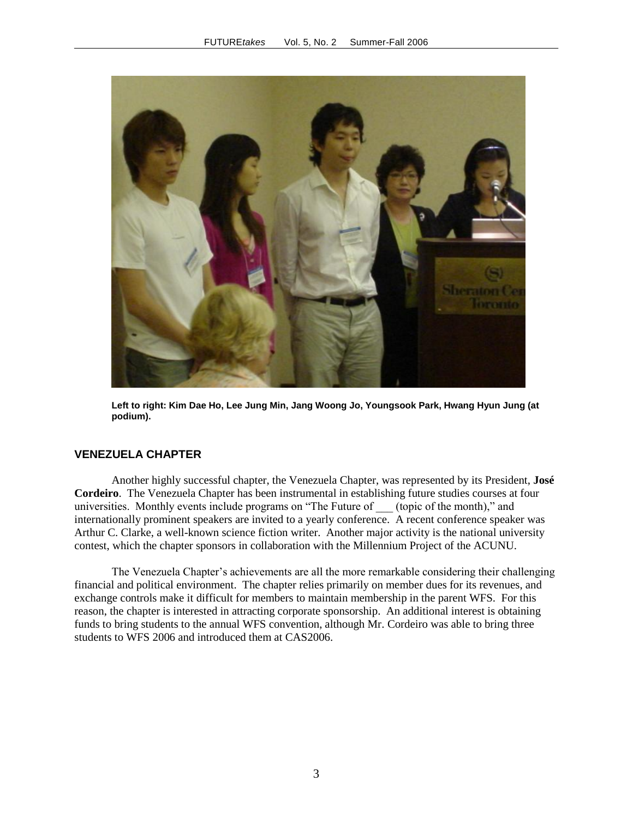

**Left to right: Kim Dae Ho, Lee Jung Min, Jang Woong Jo, Youngsook Park, Hwang Hyun Jung (at podium).**

# **VENEZUELA CHAPTER**

Another highly successful chapter, the Venezuela Chapter, was represented by its President, **José Cordeiro**. The Venezuela Chapter has been instrumental in establishing future studies courses at four universities. Monthly events include programs on "The Future of \_\_\_ (topic of the month)," and internationally prominent speakers are invited to a yearly conference. A recent conference speaker was Arthur C. Clarke, a well-known science fiction writer. Another major activity is the national university contest, which the chapter sponsors in collaboration with the Millennium Project of the ACUNU.

The Venezuela Chapter's achievements are all the more remarkable considering their challenging financial and political environment. The chapter relies primarily on member dues for its revenues, and exchange controls make it difficult for members to maintain membership in the parent WFS. For this reason, the chapter is interested in attracting corporate sponsorship. An additional interest is obtaining funds to bring students to the annual WFS convention, although Mr. Cordeiro was able to bring three students to WFS 2006 and introduced them at CAS2006.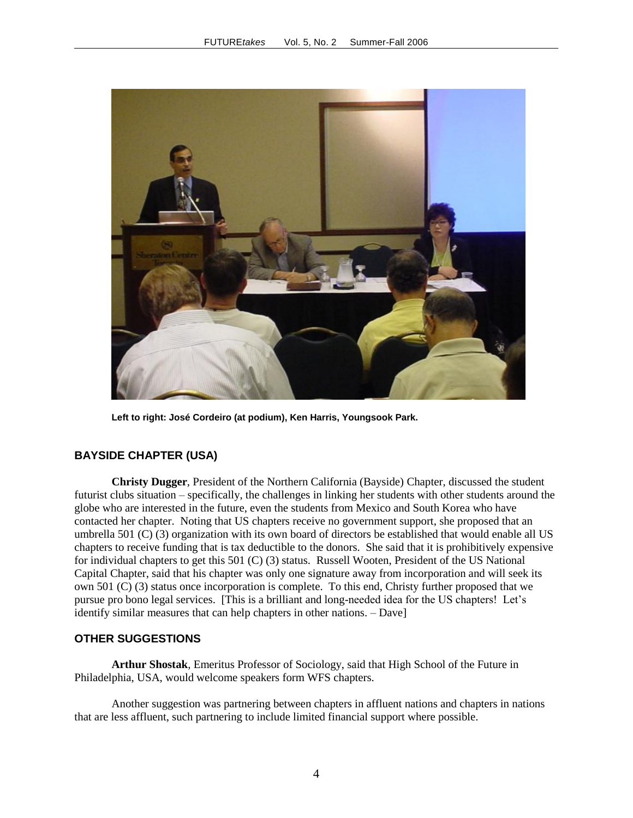

**Left to right: José Cordeiro (at podium), Ken Harris, Youngsook Park.**

# **BAYSIDE CHAPTER (USA)**

**Christy Dugger**, President of the Northern California (Bayside) Chapter, discussed the student futurist clubs situation – specifically, the challenges in linking her students with other students around the globe who are interested in the future, even the students from Mexico and South Korea who have contacted her chapter. Noting that US chapters receive no government support, she proposed that an umbrella 501 (C) (3) organization with its own board of directors be established that would enable all US chapters to receive funding that is tax deductible to the donors. She said that it is prohibitively expensive for individual chapters to get this 501 (C) (3) status. Russell Wooten, President of the US National Capital Chapter, said that his chapter was only one signature away from incorporation and will seek its own 501 (C) (3) status once incorporation is complete. To this end, Christy further proposed that we pursue pro bono legal services. [This is a brilliant and long-needed idea for the US chapters! Let's identify similar measures that can help chapters in other nations. – Dave]

# **OTHER SUGGESTIONS**

**Arthur Shostak**, Emeritus Professor of Sociology, said that High School of the Future in Philadelphia, USA, would welcome speakers form WFS chapters.

Another suggestion was partnering between chapters in affluent nations and chapters in nations that are less affluent, such partnering to include limited financial support where possible.